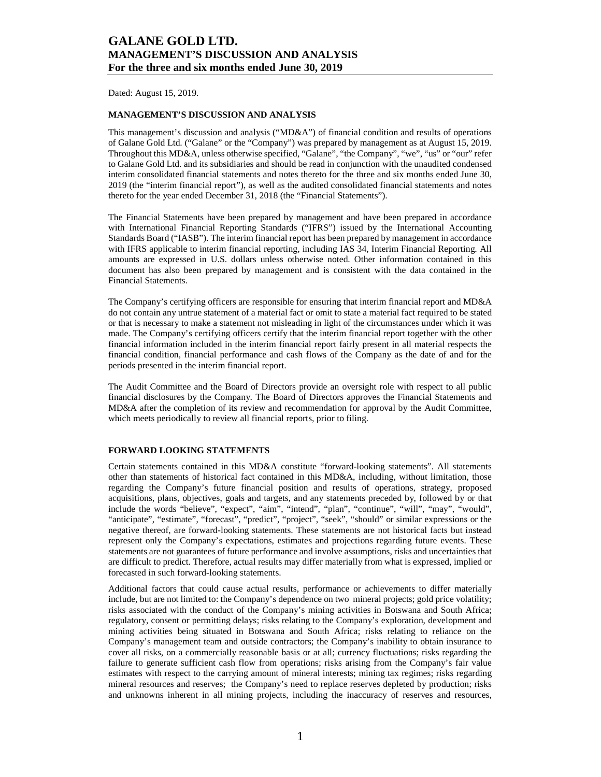Dated: August 15, 2019.

### **MANAGEMENT'S DISCUSSION AND ANALYSIS**

This management's discussion and analysis ("MD&A") of financial condition and results of operations of Galane Gold Ltd. ("Galane" or the "Company") was prepared by management as at August 15, 2019. Throughout this MD&A, unless otherwise specified, "Galane", "the Company", "we", "us" or "our" refer to Galane Gold Ltd. and its subsidiaries and should be read in conjunction with the unaudited condensed interim consolidated financial statements and notes thereto for the three and six months ended June 30, 2019 (the "interim financial report"), as well as the audited consolidated financial statements and notes thereto for the year ended December 31, 2018 (the "Financial Statements").

The Financial Statements have been prepared by management and have been prepared in accordance with International Financial Reporting Standards ("IFRS") issued by the International Accounting Standards Board ("IASB"). The interim financial report has been prepared by management in accordance with IFRS applicable to interim financial reporting, including IAS 34, Interim Financial Reporting. All amounts are expressed in U.S. dollars unless otherwise noted. Other information contained in this document has also been prepared by management and is consistent with the data contained in the Financial Statements.

The Company's certifying officers are responsible for ensuring that interim financial report and MD&A do not contain any untrue statement of a material fact or omit to state a material fact required to be stated or that is necessary to make a statement not misleading in light of the circumstances under which it was made. The Company's certifying officers certify that the interim financial report together with the other financial information included in the interim financial report fairly present in all material respects the financial condition, financial performance and cash flows of the Company as the date of and for the periods presented in the interim financial report.

The Audit Committee and the Board of Directors provide an oversight role with respect to all public financial disclosures by the Company. The Board of Directors approves the Financial Statements and MD&A after the completion of its review and recommendation for approval by the Audit Committee, which meets periodically to review all financial reports, prior to filing.

### **FORWARD LOOKING STATEMENTS**

Certain statements contained in this MD&A constitute "forward-looking statements". All statements other than statements of historical fact contained in this MD&A, including, without limitation, those regarding the Company's future financial position and results of operations, strategy, proposed acquisitions, plans, objectives, goals and targets, and any statements preceded by, followed by or that include the words "believe", "expect", "aim", "intend", "plan", "continue", "will", "may", "would", "anticipate", "estimate", "forecast", "predict", "project", "seek", "should" or similar expressions or the negative thereof, are forward-looking statements. These statements are not historical facts but instead represent only the Company's expectations, estimates and projections regarding future events. These statements are not guarantees of future performance and involve assumptions, risks and uncertainties that are difficult to predict. Therefore, actual results may differ materially from what is expressed, implied or forecasted in such forward-looking statements.

Additional factors that could cause actual results, performance or achievements to differ materially include, but are not limited to: the Company's dependence on two mineral projects; gold price volatility; risks associated with the conduct of the Company's mining activities in Botswana and South Africa; regulatory, consent or permitting delays; risks relating to the Company's exploration, development and mining activities being situated in Botswana and South Africa; risks relating to reliance on the Company's management team and outside contractors; the Company's inability to obtain insurance to cover all risks, on a commercially reasonable basis or at all; currency fluctuations; risks regarding the failure to generate sufficient cash flow from operations; risks arising from the Company's fair value estimates with respect to the carrying amount of mineral interests; mining tax regimes; risks regarding mineral resources and reserves; the Company's need to replace reserves depleted by production; risks and unknowns inherent in all mining projects, including the inaccuracy of reserves and resources,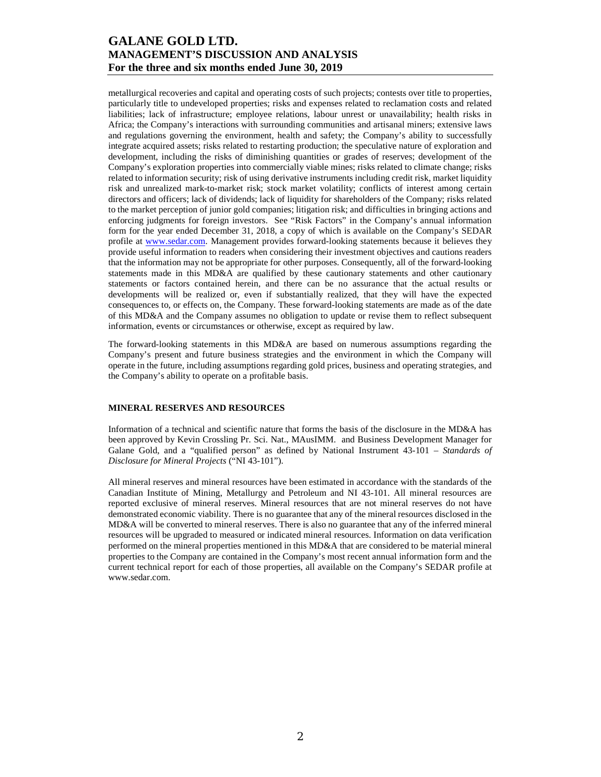metallurgical recoveries and capital and operating costs of such projects; contests over title to properties, particularly title to undeveloped properties; risks and expenses related to reclamation costs and related liabilities; lack of infrastructure; employee relations, labour unrest or unavailability; health risks in Africa; the Company's interactions with surrounding communities and artisanal miners; extensive laws and regulations governing the environment, health and safety; the Company's ability to successfully integrate acquired assets; risks related to restarting production; the speculative nature of exploration and development, including the risks of diminishing quantities or grades of reserves; development of the Company's exploration properties into commercially viable mines; risks related to climate change; risks related to information security; risk of using derivative instruments including credit risk, market liquidity risk and unrealized mark-to-market risk; stock market volatility; conflicts of interest among certain directors and officers; lack of dividends; lack of liquidity for shareholders of the Company; risks related to the market perception of junior gold companies; litigation risk; and difficulties in bringing actions and enforcing judgments for foreign investors. See "Risk Factors" in the Company's annual information form for the year ended December 31, 2018, a copy of which is available on the Company's SEDAR profile at www.sedar.com. Management provides forward-looking statements because it believes they provide useful information to readers when considering their investment objectives and cautions readers that the information may not be appropriate for other purposes. Consequently, all of the forward-looking statements made in this MD&A are qualified by these cautionary statements and other cautionary statements or factors contained herein, and there can be no assurance that the actual results or developments will be realized or, even if substantially realized, that they will have the expected consequences to, or effects on, the Company. These forward-looking statements are made as of the date of this MD&A and the Company assumes no obligation to update or revise them to reflect subsequent information, events or circumstances or otherwise, except as required by law.

The forward-looking statements in this MD&A are based on numerous assumptions regarding the Company's present and future business strategies and the environment in which the Company will operate in the future, including assumptions regarding gold prices, business and operating strategies, and the Company's ability to operate on a profitable basis.

### **MINERAL RESERVES AND RESOURCES**

Information of a technical and scientific nature that forms the basis of the disclosure in the MD&A has been approved by Kevin Crossling Pr. Sci. Nat., MAusIMM. and Business Development Manager for Galane Gold, and a "qualified person" as defined by National Instrument 43-101 – *Standards of Disclosure for Mineral Projects* ("NI 43-101").

All mineral reserves and mineral resources have been estimated in accordance with the standards of the Canadian Institute of Mining, Metallurgy and Petroleum and NI 43-101. All mineral resources are reported exclusive of mineral reserves. Mineral resources that are not mineral reserves do not have demonstrated economic viability. There is no guarantee that any of the mineral resources disclosed in the MD&A will be converted to mineral reserves. There is also no guarantee that any of the inferred mineral resources will be upgraded to measured or indicated mineral resources. Information on data verification performed on the mineral properties mentioned in this MD&A that are considered to be material mineral properties to the Company are contained in the Company's most recent annual information form and the current technical report for each of those properties, all available on the Company's SEDAR profile at www.sedar.com.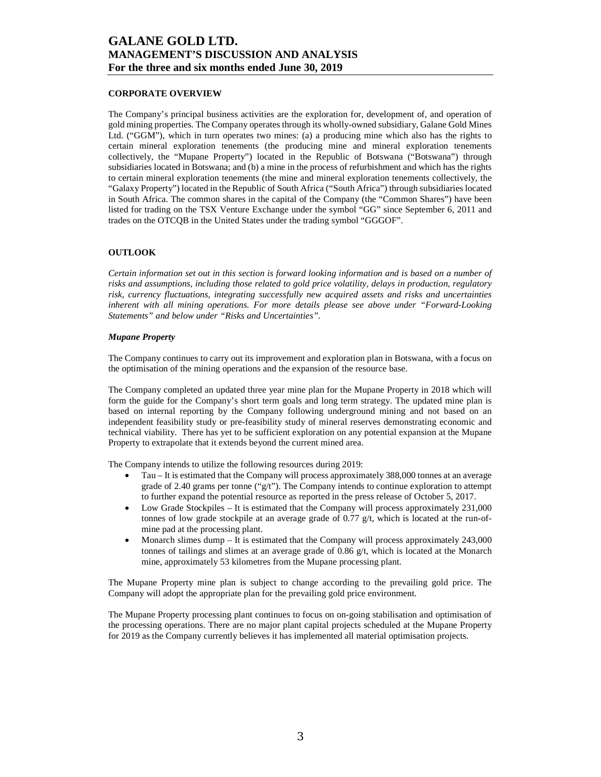### **CORPORATE OVERVIEW**

The Company's principal business activities are the exploration for, development of, and operation of gold mining properties. The Company operates through its wholly-owned subsidiary, Galane Gold Mines Ltd. ("GGM"), which in turn operates two mines: (a) a producing mine which also has the rights to certain mineral exploration tenements (the producing mine and mineral exploration tenements collectively, the "Mupane Property") located in the Republic of Botswana ("Botswana") through subsidiaries located in Botswana; and (b) a mine in the process of refurbishment and which has the rights to certain mineral exploration tenements (the mine and mineral exploration tenements collectively, the "Galaxy Property") located in the Republic of South Africa ("South Africa") through subsidiaries located in South Africa. The common shares in the capital of the Company (the "Common Shares") have been listed for trading on the TSX Venture Exchange under the symbol "GG" since September 6, 2011 and trades on the OTCQB in the United States under the trading symbol "GGGOF".

#### **OUTLOOK**

*Certain information set out in this section is forward looking information and is based on a number of risks and assumptions, including those related to gold price volatility, delays in production, regulatory risk, currency fluctuations, integrating successfully new acquired assets and risks and uncertainties inherent with all mining operations. For more details please see above under "Forward-Looking Statements" and below under "Risks and Uncertainties".* 

#### *Mupane Property*

The Company continues to carry out its improvement and exploration plan in Botswana, with a focus on the optimisation of the mining operations and the expansion of the resource base.

The Company completed an updated three year mine plan for the Mupane Property in 2018 which will form the guide for the Company's short term goals and long term strategy. The updated mine plan is based on internal reporting by the Company following underground mining and not based on an independent feasibility study or pre-feasibility study of mineral reserves demonstrating economic and technical viability. There has yet to be sufficient exploration on any potential expansion at the Mupane Property to extrapolate that it extends beyond the current mined area.

The Company intends to utilize the following resources during 2019:

- Tau It is estimated that the Company will process approximately 388,000 tonnes at an average grade of 2.40 grams per tonne (" $g/t$ "). The Company intends to continue exploration to attempt to further expand the potential resource as reported in the press release of October 5, 2017.
- Low Grade Stockpiles It is estimated that the Company will process approximately 231,000 tonnes of low grade stockpile at an average grade of  $0.77 \frac{g}{t}$ , which is located at the run-ofmine pad at the processing plant.
- Monarch slimes dump It is estimated that the Company will process approximately 243,000 tonnes of tailings and slimes at an average grade of 0.86 g/t, which is located at the Monarch mine, approximately 53 kilometres from the Mupane processing plant.

The Mupane Property mine plan is subject to change according to the prevailing gold price. The Company will adopt the appropriate plan for the prevailing gold price environment.

The Mupane Property processing plant continues to focus on on-going stabilisation and optimisation of the processing operations. There are no major plant capital projects scheduled at the Mupane Property for 2019 as the Company currently believes it has implemented all material optimisation projects.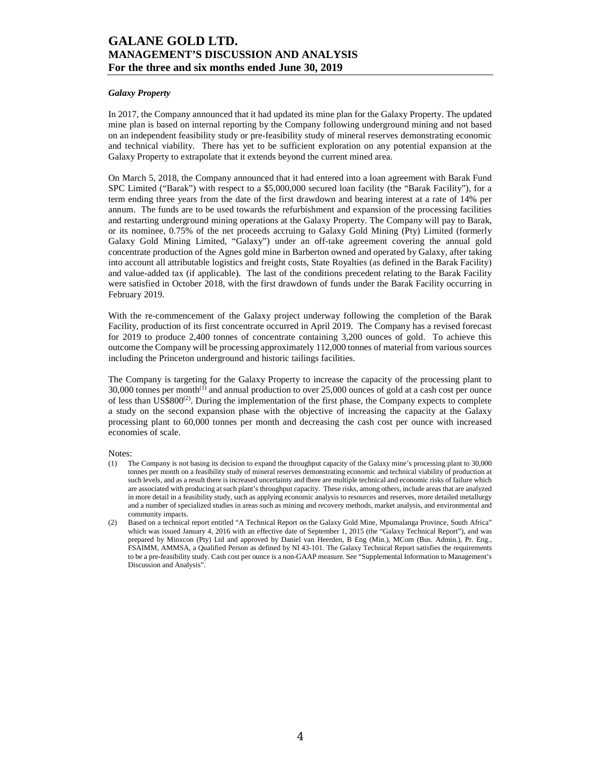### *Galaxy Property*

In 2017, the Company announced that it had updated its mine plan for the Galaxy Property. The updated mine plan is based on internal reporting by the Company following underground mining and not based on an independent feasibility study or pre-feasibility study of mineral reserves demonstrating economic and technical viability. There has yet to be sufficient exploration on any potential expansion at the Galaxy Property to extrapolate that it extends beyond the current mined area.

On March 5, 2018, the Company announced that it had entered into a loan agreement with Barak Fund SPC Limited ("Barak") with respect to a \$5,000,000 secured loan facility (the "Barak Facility"), for a term ending three years from the date of the first drawdown and bearing interest at a rate of 14% per annum. The funds are to be used towards the refurbishment and expansion of the processing facilities and restarting underground mining operations at the Galaxy Property. The Company will pay to Barak, or its nominee, 0.75% of the net proceeds accruing to Galaxy Gold Mining (Pty) Limited (formerly Galaxy Gold Mining Limited, "Galaxy") under an off-take agreement covering the annual gold concentrate production of the Agnes gold mine in Barberton owned and operated by Galaxy, after taking into account all attributable logistics and freight costs, State Royalties (as defined in the Barak Facility) and value-added tax (if applicable). The last of the conditions precedent relating to the Barak Facility were satisfied in October 2018, with the first drawdown of funds under the Barak Facility occurring in February 2019.

With the re-commencement of the Galaxy project underway following the completion of the Barak Facility, production of its first concentrate occurred in April 2019. The Company has a revised forecast for 2019 to produce 2,400 tonnes of concentrate containing 3,200 ounces of gold. To achieve this outcome the Company will be processing approximately 112,000 tonnes of material from various sources including the Princeton underground and historic tailings facilities.

The Company is targeting for the Galaxy Property to increase the capacity of the processing plant to  $30,000$  tonnes per month<sup>(1)</sup> and annual production to over  $25,000$  ounces of gold at a cash cost per ounce of less than  $US$800<sup>(2)</sup>$ . During the implementation of the first phase, the Company expects to complete a study on the second expansion phase with the objective of increasing the capacity at the Galaxy processing plant to 60,000 tonnes per month and decreasing the cash cost per ounce with increased economies of scale.

Notes:

- (1) The Company is not basing its decision to expand the throughput capacity of the Galaxy mine's processing plant to 30,000 tonnes per month on a feasibility study of mineral reserves demonstrating economic and technical viability of production at such levels, and as a result there is increased uncertainty and there are multiple technical and economic risks of failure which are associated with producing at such plant's throughput capacity. These risks, among others, include areas that are analyzed in more detail in a feasibility study, such as applying economic analysis to resources and reserves, more detailed metallurgy and a number of specialized studies in areas such as mining and recovery methods, market analysis, and environmental and community impacts.
- (2) Based on a technical report entitled "A Technical Report on the Galaxy Gold Mine, Mpumalanga Province, South Africa" which was issued January 4, 2016 with an effective date of September 1, 2015 (the "Galaxy Technical Report"), and was prepared by Minxcon (Pty) Ltd and approved by Daniel van Heerden, B Eng (Min.), MCom (Bus. Admin.), Pr. Eng., FSAIMM, AMMSA, a Qualified Person as defined by NI 43-101. The Galaxy Technical Report satisfies the requirements to be a pre-feasibility study. Cash cost per ounce is a non-GAAP measure. See "Supplemental Information to Management's Discussion and Analysis".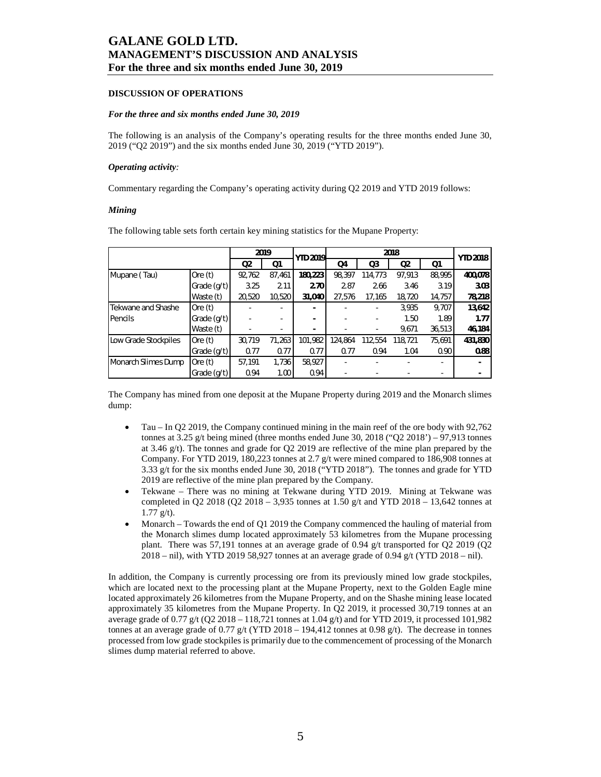### **DISCUSSION OF OPERATIONS**

#### *For the three and six months ended June 30, 2019*

The following is an analysis of the Company's operating results for the three months ended June 30, 2019 ("Q2 2019") and the six months ended June 30, 2019 ("YTD 2019").

#### *Operating activity:*

Commentary regarding the Company's operating activity during Q2 2019 and YTD 2019 follows:

#### *Mining*

|                      |               |        | 2019           | <b>YTD 2019</b> |         |         | <b>YTD 2018</b> |        |         |
|----------------------|---------------|--------|----------------|-----------------|---------|---------|-----------------|--------|---------|
|                      |               | Q2     | Q <sub>1</sub> |                 | Q4      | Q3      | Q <sub>2</sub>  | Q1     |         |
| Mupane (Tau)         | Ore $(t)$     | 92,762 | 87,461         | 180,223         | 98.397  | 114,773 | 97,913          | 88.995 | 400,078 |
|                      | Grade $(q/t)$ | 3.25   | 2.11           | 2.70            | 2.87    | 2.66    | 3.46            | 3.19   | 3.03    |
|                      | Waste (t)     | 20,520 | 10,520         | 31,040          | 27,576  | 17,165  | 18,720          | 14,757 | 78,218  |
| Tekwane and Shashe   | Ore $(t)$     |        |                | ٠               |         |         | 3.935           | 9.707  | 13,642  |
| Pencils              | Grade $(q/t)$ |        |                | ۰               |         | -       | 1.50            | 1.89   | 1.77    |
|                      | Waste (t)     |        |                | ۰               |         | -       | 9,671           | 36,513 | 46,184  |
| Low Grade Stockpiles | Ore $(t)$     | 30.719 | 71,263         | 101.982         | 124.864 | 112,554 | 118.721         | 75.691 | 431,830 |
|                      | Grade $(q/t)$ | 0.77   | 0.77           | 0.77            | 0.77    | 0.94    | 1.04            | 0.90   | 0.88    |
| Monarch Slimes Dump  | Ore $(t)$     | 57,191 | 1,736          | 58,927          |         |         |                 |        |         |
|                      | Grade (g/t)   | 0.94   | 1.00           | 0.94            |         |         |                 |        |         |

The following table sets forth certain key mining statistics for the Mupane Property:

The Company has mined from one deposit at the Mupane Property during 2019 and the Monarch slimes dump:

- Tau In Q2 2019, the Company continued mining in the main reef of the ore body with 92,762 tonnes at 3.25 g/t being mined (three months ended June 30, 2018 ("Q2 2018') – 97,913 tonnes at 3.46 g/t). The tonnes and grade for Q2 2019 are reflective of the mine plan prepared by the Company. For YTD 2019, 180,223 tonnes at 2.7 g/t were mined compared to 186,908 tonnes at 3.33 g/t for the six months ended June 30, 2018 ("YTD 2018"). The tonnes and grade for YTD 2019 are reflective of the mine plan prepared by the Company.
- Tekwane There was no mining at Tekwane during YTD 2019. Mining at Tekwane was completed in Q2 2018 (Q2 2018 – 3,935 tonnes at 1.50 g/t and YTD 2018 – 13,642 tonnes at  $1.77 \text{ g/t}$ .
- Monarch Towards the end of Q1 2019 the Company commenced the hauling of material from the Monarch slimes dump located approximately 53 kilometres from the Mupane processing plant. There was 57,191 tonnes at an average grade of 0.94 g/t transported for Q2 2019 (Q2 2018 – nil), with YTD 2019 58,927 tonnes at an average grade of 0.94 g/t (YTD 2018 – nil).

In addition, the Company is currently processing ore from its previously mined low grade stockpiles, which are located next to the processing plant at the Mupane Property, next to the Golden Eagle mine located approximately 26 kilometres from the Mupane Property, and on the Shashe mining lease located approximately 35 kilometres from the Mupane Property. In Q2 2019, it processed 30,719 tonnes at an average grade of 0.77 g/t (Q2 2018 – 118,721 tonnes at 1.04 g/t) and for YTD 2019, it processed 101,982 tonnes at an average grade of 0.77 g/t (YTD 2018 – 194,412 tonnes at 0.98 g/t). The decrease in tonnes processed from low grade stockpiles is primarily due to the commencement of processing of the Monarch slimes dump material referred to above.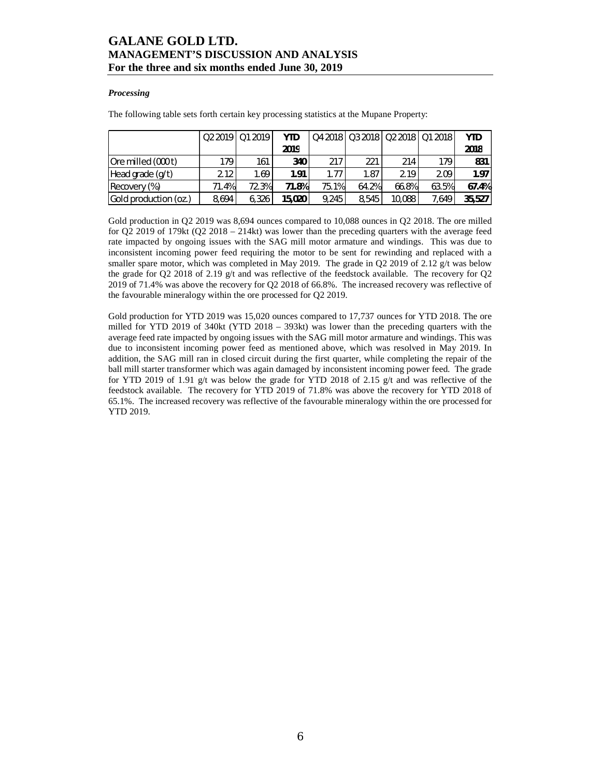### *Processing*

The following table sets forth certain key processing statistics at the Mupane Property:

|                       |       | 02 2019   01 2019 | <b>YTD</b> |       | Q4 2018   Q3 2018   Q2 2018   Q1 2018 |        |       | <b>YTD</b>        |
|-----------------------|-------|-------------------|------------|-------|---------------------------------------|--------|-------|-------------------|
|                       |       |                   | 2019       |       |                                       |        |       | 2018              |
| Ore milled (000t)     | 179   | 161               | 340        | 217   | 221                                   | 214    | 179   | 831               |
| Head grade (g/t)      | 2.12  | 1.69              | 1.91       | 1.77  | 1.87                                  | 2.19   | 2.09  | 1.97 <sub>1</sub> |
| Recovery (%)          | 71.4% | 72.3%             | 71.8%      | 75.1% | 64.2%                                 | 66.8%  | 63.5% | 67.4%             |
| Gold production (oz.) | 8.694 | 6.326             | 15,020     | 9.245 | 8.545                                 | 10.088 | 7.649 | 35,527            |

Gold production in Q2 2019 was 8,694 ounces compared to 10,088 ounces in Q2 2018. The ore milled for  $Q2$  2019 of 179kt  $(Q2 2018 - 214kt)$  was lower than the preceding quarters with the average feed rate impacted by ongoing issues with the SAG mill motor armature and windings. This was due to inconsistent incoming power feed requiring the motor to be sent for rewinding and replaced with a smaller spare motor, which was completed in May 2019. The grade in Q2 2019 of 2.12  $g/t$  was below the grade for Q2 2018 of 2.19 g/t and was reflective of the feedstock available. The recovery for Q2 2019 of 71.4% was above the recovery for Q2 2018 of 66.8%. The increased recovery was reflective of the favourable mineralogy within the ore processed for Q2 2019.

Gold production for YTD 2019 was 15,020 ounces compared to 17,737 ounces for YTD 2018. The ore milled for YTD 2019 of 340kt (YTD 2018 – 393kt) was lower than the preceding quarters with the average feed rate impacted by ongoing issues with the SAG mill motor armature and windings. This was due to inconsistent incoming power feed as mentioned above, which was resolved in May 2019. In addition, the SAG mill ran in closed circuit during the first quarter, while completing the repair of the ball mill starter transformer which was again damaged by inconsistent incoming power feed. The grade for YTD 2019 of 1.91 g/t was below the grade for YTD 2018 of 2.15 g/t and was reflective of the feedstock available. The recovery for YTD 2019 of 71.8% was above the recovery for YTD 2018 of 65.1%. The increased recovery was reflective of the favourable mineralogy within the ore processed for YTD 2019.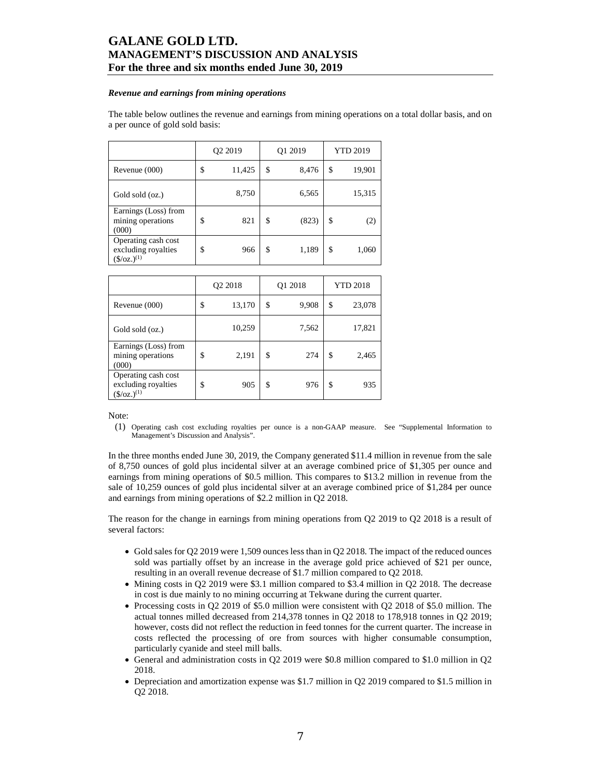#### *Revenue and earnings from mining operations*

The table below outlines the revenue and earnings from mining operations on a total dollar basis, and on a per ounce of gold sold basis:

|                                                                           | Q2 2019      | Q1 2019     | <b>YTD 2019</b> |        |  |
|---------------------------------------------------------------------------|--------------|-------------|-----------------|--------|--|
| Revenue $(000)$                                                           | \$<br>11,425 | \$<br>8,476 | \$              | 19,901 |  |
| Gold sold (oz.)                                                           | 8,750        | 6,565       |                 | 15,315 |  |
| Earnings (Loss) from<br>mining operations<br>(000)                        | \$<br>821    | \$<br>(823) | \$              | (2)    |  |
| Operating cash cost<br>excluding royalties<br>$(\frac{\csc(1)}{2})^{(1)}$ | \$<br>966    | \$<br>1,189 | \$              | 1,060  |  |

|                                                                        | Q2 2018      | Q1 2018     | <b>YTD 2018</b> |        |  |
|------------------------------------------------------------------------|--------------|-------------|-----------------|--------|--|
| Revenue $(000)$                                                        | \$<br>13,170 | \$<br>9,908 | \$              | 23,078 |  |
| Gold sold (oz.)                                                        | 10,259       | 7,562       |                 | 17,821 |  |
| Earnings (Loss) from<br>mining operations<br>(000)                     | \$<br>2,191  | \$<br>274   | \$              | 2,465  |  |
| Operating cash cost<br>excluding royalties<br>$(\frac{\xi}{oz})^{(1)}$ | \$<br>905    | \$<br>976   | \$              | 935    |  |

Note:

(1) Operating cash cost excluding royalties per ounce is a non-GAAP measure. See "Supplemental Information to Management's Discussion and Analysis".

In the three months ended June 30, 2019, the Company generated \$11.4 million in revenue from the sale of 8,750 ounces of gold plus incidental silver at an average combined price of \$1,305 per ounce and earnings from mining operations of \$0.5 million. This compares to \$13.2 million in revenue from the sale of 10,259 ounces of gold plus incidental silver at an average combined price of \$1,284 per ounce and earnings from mining operations of \$2.2 million in Q2 2018.

The reason for the change in earnings from mining operations from Q2 2019 to Q2 2018 is a result of several factors:

- Gold sales for Q2 2019 were 1,509 ounces less than in Q2 2018. The impact of the reduced ounces sold was partially offset by an increase in the average gold price achieved of \$21 per ounce, resulting in an overall revenue decrease of \$1.7 million compared to Q2 2018.
- Mining costs in Q2 2019 were \$3.1 million compared to \$3.4 million in Q2 2018. The decrease in cost is due mainly to no mining occurring at Tekwane during the current quarter.
- Processing costs in Q2 2019 of \$5.0 million were consistent with Q2 2018 of \$5.0 million. The actual tonnes milled decreased from 214,378 tonnes in Q2 2018 to 178,918 tonnes in Q2 2019; however, costs did not reflect the reduction in feed tonnes for the current quarter. The increase in costs reflected the processing of ore from sources with higher consumable consumption, particularly cyanide and steel mill balls.
- General and administration costs in Q2 2019 were \$0.8 million compared to \$1.0 million in Q2 2018.
- Depreciation and amortization expense was \$1.7 million in Q2 2019 compared to \$1.5 million in Q2 2018.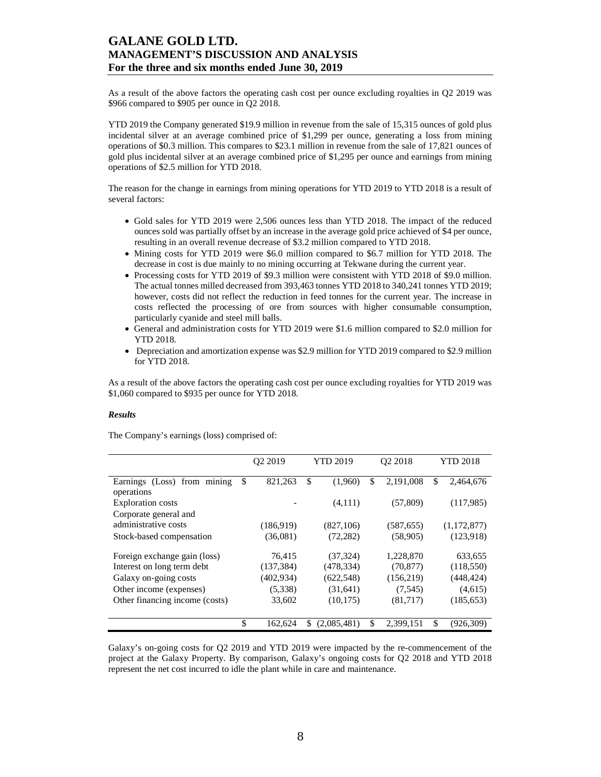As a result of the above factors the operating cash cost per ounce excluding royalties in Q2 2019 was \$966 compared to \$905 per ounce in Q2 2018.

YTD 2019 the Company generated \$19.9 million in revenue from the sale of 15,315 ounces of gold plus incidental silver at an average combined price of \$1,299 per ounce, generating a loss from mining operations of \$0.3 million. This compares to \$23.1 million in revenue from the sale of 17,821 ounces of gold plus incidental silver at an average combined price of \$1,295 per ounce and earnings from mining operations of \$2.5 million for YTD 2018.

The reason for the change in earnings from mining operations for YTD 2019 to YTD 2018 is a result of several factors:

- Gold sales for YTD 2019 were 2,506 ounces less than YTD 2018. The impact of the reduced ounces sold was partially offset by an increase in the average gold price achieved of \$4 per ounce, resulting in an overall revenue decrease of \$3.2 million compared to YTD 2018.
- Mining costs for YTD 2019 were \$6.0 million compared to \$6.7 million for YTD 2018. The decrease in cost is due mainly to no mining occurring at Tekwane during the current year.
- Processing costs for YTD 2019 of \$9.3 million were consistent with YTD 2018 of \$9.0 million. The actual tonnes milled decreased from 393,463 tonnes YTD 2018 to 340,241 tonnes YTD 2019; however, costs did not reflect the reduction in feed tonnes for the current year. The increase in costs reflected the processing of ore from sources with higher consumable consumption, particularly cyanide and steel mill balls.
- General and administration costs for YTD 2019 were \$1.6 million compared to \$2.0 million for YTD 2018.
- Depreciation and amortization expense was \$2.9 million for YTD 2019 compared to \$2.9 million for YTD 2018.

As a result of the above factors the operating cash cost per ounce excluding royalties for YTD 2019 was \$1,060 compared to \$935 per ounce for YTD 2018.

#### *Results*

The Company's earnings (loss) comprised of:

|                                | O <sub>2</sub> 2019 |    | <b>YTD 2019</b> | O <sub>2</sub> 2018 |            | <b>YTD 2018</b> |             |
|--------------------------------|---------------------|----|-----------------|---------------------|------------|-----------------|-------------|
| Earnings (Loss) from mining    | \$<br>821,263       | \$ | (1,960)         | \$                  | 2,191,008  | \$              | 2,464,676   |
| operations                     |                     |    |                 |                     |            |                 |             |
| <b>Exploration costs</b>       |                     |    | (4,111)         |                     | (57, 809)  |                 | (117,985)   |
| Corporate general and          |                     |    |                 |                     |            |                 |             |
| administrative costs           | (186,919)           |    | (827,106)       |                     | (587, 655) |                 | (1,172,877) |
| Stock-based compensation       | (36,081)            |    | (72, 282)       |                     | (58,905)   |                 | (123,918)   |
| Foreign exchange gain (loss)   | 76,415              |    | (37, 324)       |                     | 1,228,870  |                 | 633,655     |
| Interest on long term debt     | (137, 384)          |    | (478, 334)      |                     | (70, 877)  |                 | (118,550)   |
| Galaxy on-going costs          | (402, 934)          |    | (622, 548)      |                     | (156, 219) |                 | (448, 424)  |
| Other income (expenses)        | (5,338)             |    | (31, 641)       |                     | (7,545)    |                 | (4,615)     |
| Other financing income (costs) | 33,602              |    | (10, 175)       |                     | (81,717)   |                 | (185, 653)  |
|                                |                     |    |                 |                     |            |                 |             |
|                                | \$<br>162,624       | S  | (2,085,481)     | \$                  | 2,399,151  | \$              | (926, 309)  |

Galaxy's on-going costs for Q2 2019 and YTD 2019 were impacted by the re-commencement of the project at the Galaxy Property. By comparison, Galaxy's ongoing costs for Q2 2018 and YTD 2018 represent the net cost incurred to idle the plant while in care and maintenance.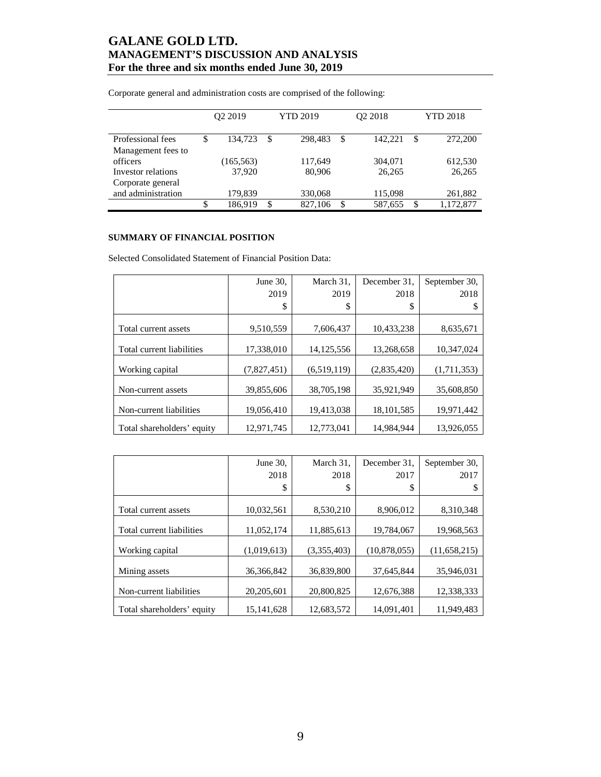|                    | Q2 2019       |   | <b>YTD 2019</b> |    | Q2 2018 | <b>YTD 2018</b> |           |  |
|--------------------|---------------|---|-----------------|----|---------|-----------------|-----------|--|
| Professional fees  | \$<br>134.723 | S | 298.483         | \$ | 142.221 | \$              | 272,200   |  |
| Management fees to |               |   |                 |    |         |                 |           |  |
| officers           | (165, 563)    |   | 117,649         |    | 304,071 |                 | 612,530   |  |
| Investor relations | 37.920        |   | 80,906          |    | 26,265  |                 | 26,265    |  |
| Corporate general  |               |   |                 |    |         |                 |           |  |
| and administration | 179,839       |   | 330,068         |    | 115,098 |                 | 261,882   |  |
|                    | \$<br>186.919 | S | 827,106         | S  | 587,655 | S               | 1,172,877 |  |

Corporate general and administration costs are comprised of the following:

### **SUMMARY OF FINANCIAL POSITION**

Selected Consolidated Statement of Financial Position Data:

|                            | June 30,    | March 31,    | December 31. | September 30, |
|----------------------------|-------------|--------------|--------------|---------------|
|                            | 2019        | 2019         | 2018         | 2018          |
|                            | \$          | \$           | \$           | S             |
|                            |             |              |              |               |
| Total current assets       | 9,510,559   | 7.606.437    | 10.433.238   | 8,635,671     |
| Total current liabilities  | 17,338,010  | 14, 125, 556 | 13,268,658   | 10,347,024    |
| Working capital            | (7,827,451) | (6,519,119)  | (2,835,420)  | (1,711,353)   |
| Non-current assets         | 39,855,606  | 38,705,198   | 35,921,949   | 35,608,850    |
| Non-current liabilities    | 19,056,410  | 19,413,038   | 18, 101, 585 | 19,971,442    |
| Total shareholders' equity | 12.971.745  | 12,773,041   | 14.984.944   | 13.926.055    |

|                            | June 30.     | March 31.   | December 31. | September 30,  |
|----------------------------|--------------|-------------|--------------|----------------|
|                            | 2018         | 2018        | 2017         | 2017           |
|                            | \$           | \$          | \$           |                |
|                            |              |             |              |                |
| Total current assets       | 10,032,561   | 8,530,210   | 8,906,012    | 8,310,348      |
|                            |              |             |              |                |
| Total current liabilities  | 11,052,174   | 11,885,613  | 19,784,067   | 19,968,563     |
| Working capital            | (1,019,613)  | (3,355,403) | (10,878,055) | (11, 658, 215) |
| Mining assets              | 36, 366, 842 | 36,839,800  | 37.645.844   | 35,946,031     |
|                            |              |             |              |                |
| Non-current liabilities    | 20,205,601   | 20,800,825  | 12,676,388   | 12,338,333     |
| Total shareholders' equity | 15, 141, 628 | 12,683,572  | 14,091,401   | 11,949,483     |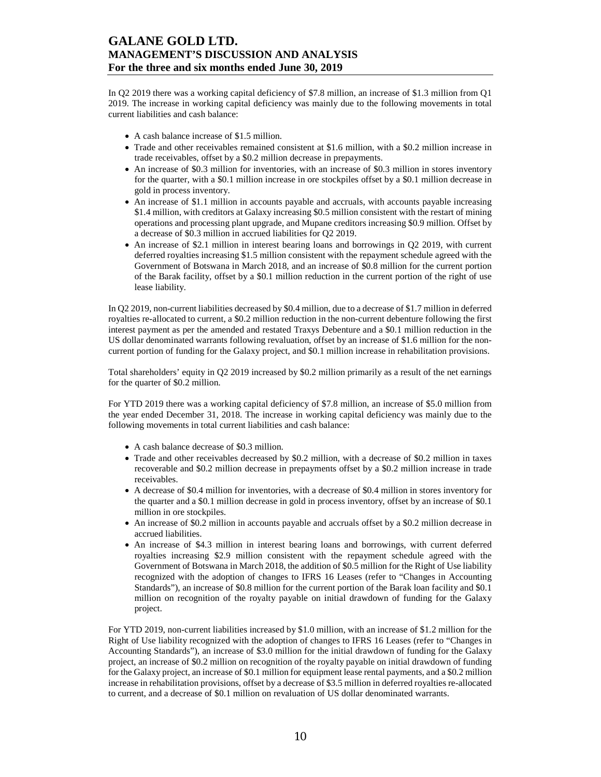In Q2 2019 there was a working capital deficiency of \$7.8 million, an increase of \$1.3 million from Q1 2019. The increase in working capital deficiency was mainly due to the following movements in total current liabilities and cash balance:

- A cash balance increase of \$1.5 million.
- Trade and other receivables remained consistent at \$1.6 million, with a \$0.2 million increase in trade receivables, offset by a \$0.2 million decrease in prepayments.
- An increase of \$0.3 million for inventories, with an increase of \$0.3 million in stores inventory for the quarter, with a \$0.1 million increase in ore stockpiles offset by a \$0.1 million decrease in gold in process inventory.
- An increase of \$1.1 million in accounts payable and accruals, with accounts payable increasing \$1.4 million, with creditors at Galaxy increasing \$0.5 million consistent with the restart of mining operations and processing plant upgrade, and Mupane creditors increasing \$0.9 million. Offset by a decrease of \$0.3 million in accrued liabilities for Q2 2019.
- An increase of \$2.1 million in interest bearing loans and borrowings in Q2 2019, with current deferred royalties increasing \$1.5 million consistent with the repayment schedule agreed with the Government of Botswana in March 2018, and an increase of \$0.8 million for the current portion of the Barak facility, offset by a \$0.1 million reduction in the current portion of the right of use lease liability.

In Q2 2019, non-current liabilities decreased by \$0.4 million, due to a decrease of \$1.7 million in deferred royalties re-allocated to current, a \$0.2 million reduction in the non-current debenture following the first interest payment as per the amended and restated Traxys Debenture and a \$0.1 million reduction in the US dollar denominated warrants following revaluation, offset by an increase of \$1.6 million for the noncurrent portion of funding for the Galaxy project, and \$0.1 million increase in rehabilitation provisions.

Total shareholders' equity in Q2 2019 increased by \$0.2 million primarily as a result of the net earnings for the quarter of \$0.2 million.

For YTD 2019 there was a working capital deficiency of \$7.8 million, an increase of \$5.0 million from the year ended December 31, 2018. The increase in working capital deficiency was mainly due to the following movements in total current liabilities and cash balance:

- A cash balance decrease of \$0.3 million.
- Trade and other receivables decreased by \$0.2 million, with a decrease of \$0.2 million in taxes recoverable and \$0.2 million decrease in prepayments offset by a \$0.2 million increase in trade receivables.
- A decrease of \$0.4 million for inventories, with a decrease of \$0.4 million in stores inventory for the quarter and a \$0.1 million decrease in gold in process inventory, offset by an increase of \$0.1 million in ore stockpiles.
- An increase of \$0.2 million in accounts payable and accruals offset by a \$0.2 million decrease in accrued liabilities.
- An increase of \$4.3 million in interest bearing loans and borrowings, with current deferred royalties increasing \$2.9 million consistent with the repayment schedule agreed with the Government of Botswana in March 2018, the addition of \$0.5 million for the Right of Use liability recognized with the adoption of changes to IFRS 16 Leases (refer to "Changes in Accounting Standards"), an increase of \$0.8 million for the current portion of the Barak loan facility and \$0.1 million on recognition of the royalty payable on initial drawdown of funding for the Galaxy project.

For YTD 2019, non-current liabilities increased by \$1.0 million, with an increase of \$1.2 million for the Right of Use liability recognized with the adoption of changes to IFRS 16 Leases (refer to "Changes in Accounting Standards"), an increase of \$3.0 million for the initial drawdown of funding for the Galaxy project, an increase of \$0.2 million on recognition of the royalty payable on initial drawdown of funding for the Galaxy project, an increase of \$0.1 million for equipment lease rental payments, and a \$0.2 million increase in rehabilitation provisions, offset by a decrease of \$3.5 million in deferred royalties re-allocated to current, and a decrease of \$0.1 million on revaluation of US dollar denominated warrants.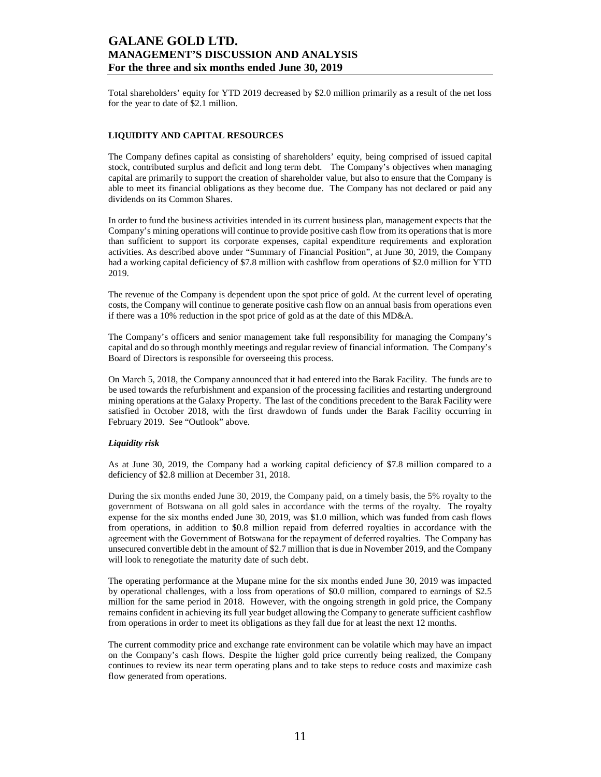Total shareholders' equity for YTD 2019 decreased by \$2.0 million primarily as a result of the net loss for the year to date of \$2.1 million.

### **LIQUIDITY AND CAPITAL RESOURCES**

The Company defines capital as consisting of shareholders' equity, being comprised of issued capital stock, contributed surplus and deficit and long term debt. The Company's objectives when managing capital are primarily to support the creation of shareholder value, but also to ensure that the Company is able to meet its financial obligations as they become due. The Company has not declared or paid any dividends on its Common Shares.

In order to fund the business activities intended in its current business plan, management expects that the Company's mining operations will continue to provide positive cash flow from its operations that is more than sufficient to support its corporate expenses, capital expenditure requirements and exploration activities. As described above under "Summary of Financial Position", at June 30, 2019, the Company had a working capital deficiency of \$7.8 million with cashflow from operations of \$2.0 million for YTD 2019.

The revenue of the Company is dependent upon the spot price of gold. At the current level of operating costs, the Company will continue to generate positive cash flow on an annual basis from operations even if there was a 10% reduction in the spot price of gold as at the date of this MD&A.

The Company's officers and senior management take full responsibility for managing the Company's capital and do so through monthly meetings and regular review of financial information. The Company's Board of Directors is responsible for overseeing this process.

On March 5, 2018, the Company announced that it had entered into the Barak Facility. The funds are to be used towards the refurbishment and expansion of the processing facilities and restarting underground mining operations at the Galaxy Property. The last of the conditions precedent to the Barak Facility were satisfied in October 2018, with the first drawdown of funds under the Barak Facility occurring in February 2019. See "Outlook" above.

#### *Liquidity risk*

As at June 30, 2019, the Company had a working capital deficiency of \$7.8 million compared to a deficiency of \$2.8 million at December 31, 2018.

During the six months ended June 30, 2019, the Company paid, on a timely basis, the 5% royalty to the government of Botswana on all gold sales in accordance with the terms of the royalty. The royalty expense for the six months ended June 30, 2019, was \$1.0 million, which was funded from cash flows from operations, in addition to \$0.8 million repaid from deferred royalties in accordance with the agreement with the Government of Botswana for the repayment of deferred royalties. The Company has unsecured convertible debt in the amount of \$2.7 million that is due in November 2019, and the Company will look to renegotiate the maturity date of such debt.

The operating performance at the Mupane mine for the six months ended June 30, 2019 was impacted by operational challenges, with a loss from operations of \$0.0 million, compared to earnings of \$2.5 million for the same period in 2018. However, with the ongoing strength in gold price, the Company remains confident in achieving its full year budget allowing the Company to generate sufficient cashflow from operations in order to meet its obligations as they fall due for at least the next 12 months.

The current commodity price and exchange rate environment can be volatile which may have an impact on the Company's cash flows. Despite the higher gold price currently being realized, the Company continues to review its near term operating plans and to take steps to reduce costs and maximize cash flow generated from operations.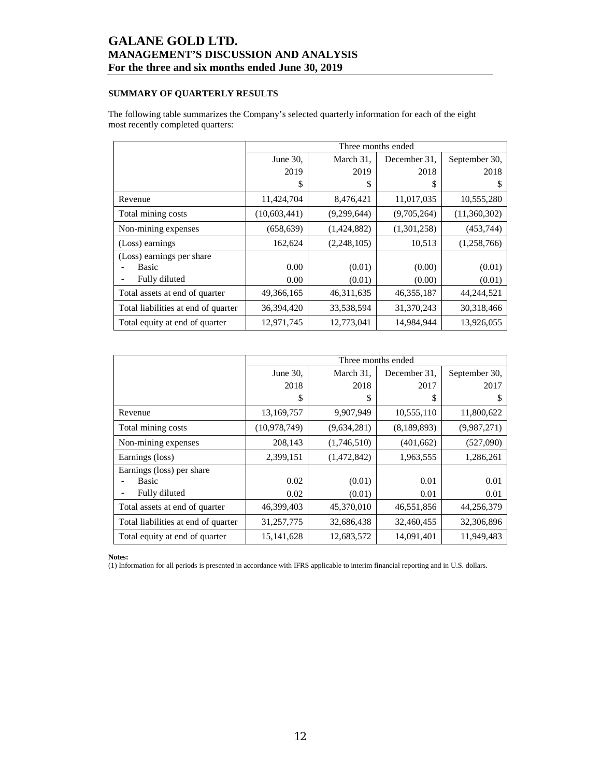## **SUMMARY OF QUARTERLY RESULTS**

The following table summarizes the Company's selected quarterly information for each of the eight most recently completed quarters:

|                                     |              |              | Three months ended |               |
|-------------------------------------|--------------|--------------|--------------------|---------------|
|                                     | June 30,     | March 31,    | December 31.       | September 30, |
|                                     | 2019         | 2019         | 2018               | 2018          |
|                                     | \$           | \$           | S                  | S             |
| Revenue                             | 11,424,704   | 8,476,421    | 11,017,035         | 10,555,280    |
| Total mining costs                  | (10,603,441) | (9,299,644)  | (9,705,264)        | (11,360,302)  |
| Non-mining expenses                 | (658, 639)   | (1,424,882)  | (1,301,258)        | (453, 744)    |
| (Loss) earnings                     | 162,624      | (2,248,105)  | 10,513             | (1,258,766)   |
| (Loss) earnings per share           |              |              |                    |               |
| <b>Basic</b>                        | 0.00         | (0.01)       | (0.00)             | (0.01)        |
| Fully diluted                       | 0.00         | (0.01)       | (0.00)             | (0.01)        |
| Total assets at end of quarter      | 49,366,165   | 46, 311, 635 | 46, 355, 187       | 44,244,521    |
| Total liabilities at end of quarter | 36,394,420   | 33,538,594   | 31,370,243         | 30,318,466    |
| Total equity at end of quarter      | 12,971,745   | 12,773,041   | 14,984,944         | 13,926,055    |

|                                     |              | Three months ended |              |               |
|-------------------------------------|--------------|--------------------|--------------|---------------|
|                                     | June 30,     | March 31,          | December 31. | September 30, |
|                                     | 2018         | 2018               | 2017         | 2017          |
|                                     | \$           | S                  | S            |               |
| Revenue                             | 13,169,757   | 9,907,949          | 10,555,110   | 11,800,622    |
| Total mining costs                  | (10,978,749) | (9,634,281)        | (8,189,893)  | (9,987,271)   |
| Non-mining expenses                 | 208,143      | (1,746,510)        | (401, 662)   | (527,090)     |
| Earnings (loss)                     | 2,399,151    | (1,472,842)        | 1,963,555    | 1,286,261     |
| Earnings (loss) per share           |              |                    |              |               |
| Basic                               | 0.02         | (0.01)             | 0.01         | 0.01          |
| Fully diluted                       | 0.02         | (0.01)             | 0.01         | 0.01          |
| Total assets at end of quarter      | 46,399,403   | 45,370,010         | 46,551,856   | 44,256,379    |
| Total liabilities at end of quarter | 31,257,775   | 32,686,438         | 32,460,455   | 32,306,896    |
| Total equity at end of quarter      | 15, 141, 628 | 12,683,572         | 14,091,401   | 11,949,483    |

**Notes:** 

(1) Information for all periods is presented in accordance with IFRS applicable to interim financial reporting and in U.S. dollars.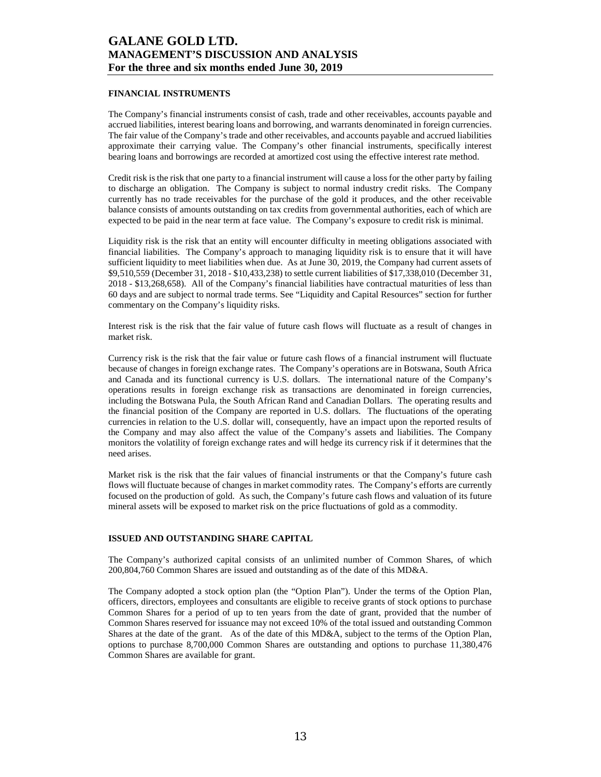### **FINANCIAL INSTRUMENTS**

The Company's financial instruments consist of cash, trade and other receivables, accounts payable and accrued liabilities, interest bearing loans and borrowing, and warrants denominated in foreign currencies. The fair value of the Company's trade and other receivables, and accounts payable and accrued liabilities approximate their carrying value. The Company's other financial instruments, specifically interest bearing loans and borrowings are recorded at amortized cost using the effective interest rate method.

Credit risk is the risk that one party to a financial instrument will cause a loss for the other party by failing to discharge an obligation. The Company is subject to normal industry credit risks. The Company currently has no trade receivables for the purchase of the gold it produces, and the other receivable balance consists of amounts outstanding on tax credits from governmental authorities, each of which are expected to be paid in the near term at face value. The Company's exposure to credit risk is minimal.

Liquidity risk is the risk that an entity will encounter difficulty in meeting obligations associated with financial liabilities. The Company's approach to managing liquidity risk is to ensure that it will have sufficient liquidity to meet liabilities when due. As at June 30, 2019, the Company had current assets of \$9,510,559 (December 31, 2018 - \$10,433,238) to settle current liabilities of \$17,338,010 (December 31, 2018 - \$13,268,658). All of the Company's financial liabilities have contractual maturities of less than 60 days and are subject to normal trade terms. See "Liquidity and Capital Resources" section for further commentary on the Company's liquidity risks.

Interest risk is the risk that the fair value of future cash flows will fluctuate as a result of changes in market risk.

Currency risk is the risk that the fair value or future cash flows of a financial instrument will fluctuate because of changes in foreign exchange rates. The Company's operations are in Botswana, South Africa and Canada and its functional currency is U.S. dollars. The international nature of the Company's operations results in foreign exchange risk as transactions are denominated in foreign currencies, including the Botswana Pula, the South African Rand and Canadian Dollars. The operating results and the financial position of the Company are reported in U.S. dollars. The fluctuations of the operating currencies in relation to the U.S. dollar will, consequently, have an impact upon the reported results of the Company and may also affect the value of the Company's assets and liabilities. The Company monitors the volatility of foreign exchange rates and will hedge its currency risk if it determines that the need arises.

Market risk is the risk that the fair values of financial instruments or that the Company's future cash flows will fluctuate because of changes in market commodity rates. The Company's efforts are currently focused on the production of gold. As such, the Company's future cash flows and valuation of its future mineral assets will be exposed to market risk on the price fluctuations of gold as a commodity.

#### **ISSUED AND OUTSTANDING SHARE CAPITAL**

The Company's authorized capital consists of an unlimited number of Common Shares, of which 200,804,760 Common Shares are issued and outstanding as of the date of this MD&A.

The Company adopted a stock option plan (the "Option Plan"). Under the terms of the Option Plan, officers, directors, employees and consultants are eligible to receive grants of stock options to purchase Common Shares for a period of up to ten years from the date of grant, provided that the number of Common Shares reserved for issuance may not exceed 10% of the total issued and outstanding Common Shares at the date of the grant. As of the date of this MD&A, subject to the terms of the Option Plan, options to purchase 8,700,000 Common Shares are outstanding and options to purchase 11,380,476 Common Shares are available for grant.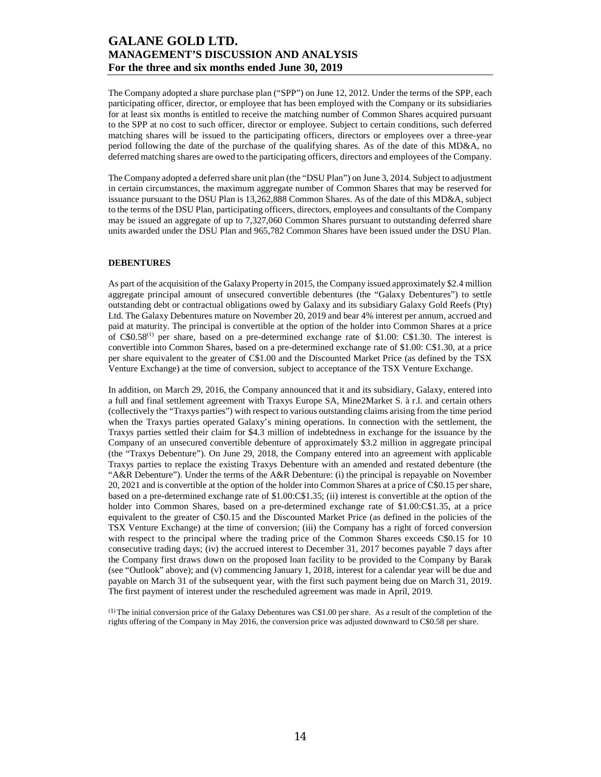The Company adopted a share purchase plan ("SPP") on June 12, 2012. Under the terms of the SPP, each participating officer, director, or employee that has been employed with the Company or its subsidiaries for at least six months is entitled to receive the matching number of Common Shares acquired pursuant to the SPP at no cost to such officer, director or employee. Subject to certain conditions, such deferred matching shares will be issued to the participating officers, directors or employees over a three-year period following the date of the purchase of the qualifying shares. As of the date of this MD&A, no deferred matching shares are owed to the participating officers, directors and employees of the Company.

The Company adopted a deferred share unit plan (the "DSU Plan") on June 3, 2014. Subject to adjustment in certain circumstances, the maximum aggregate number of Common Shares that may be reserved for issuance pursuant to the DSU Plan is 13,262,888 Common Shares. As of the date of this MD&A, subject to the terms of the DSU Plan, participating officers, directors, employees and consultants of the Company may be issued an aggregate of up to 7,327,060 Common Shares pursuant to outstanding deferred share units awarded under the DSU Plan and 965,782 Common Shares have been issued under the DSU Plan.

#### **DEBENTURES**

As part of the acquisition of the Galaxy Property in 2015, the Company issued approximately \$2.4 million aggregate principal amount of unsecured convertible debentures (the "Galaxy Debentures") to settle outstanding debt or contractual obligations owed by Galaxy and its subsidiary Galaxy Gold Reefs (Pty) Ltd. The Galaxy Debentures mature on November 20, 2019 and bear 4% interest per annum, accrued and paid at maturity. The principal is convertible at the option of the holder into Common Shares at a price of  $C$0.58<sup>(1)</sup>$  per share, based on a pre-determined exchange rate of \$1.00: C\$1.30. The interest is convertible into Common Shares, based on a pre-determined exchange rate of \$1.00: C\$1.30, at a price per share equivalent to the greater of C\$1.00 and the Discounted Market Price (as defined by the TSX Venture Exchange) at the time of conversion, subject to acceptance of the TSX Venture Exchange.

In addition, on March 29, 2016, the Company announced that it and its subsidiary, Galaxy, entered into a full and final settlement agreement with Traxys Europe SA, Mine2Market S. à r.l. and certain others (collectively the "Traxys parties") with respect to various outstanding claims arising from the time period when the Traxys parties operated Galaxy's mining operations. In connection with the settlement, the Traxys parties settled their claim for \$4.3 million of indebtedness in exchange for the issuance by the Company of an unsecured convertible debenture of approximately \$3.2 million in aggregate principal (the "Traxys Debenture"). On June 29, 2018, the Company entered into an agreement with applicable Traxys parties to replace the existing Traxys Debenture with an amended and restated debenture (the "A&R Debenture"). Under the terms of the A&R Debenture: (i) the principal is repayable on November 20, 2021 and is convertible at the option of the holder into Common Shares at a price of C\$0.15 per share, based on a pre-determined exchange rate of \$1.00:C\$1.35; (ii) interest is convertible at the option of the holder into Common Shares, based on a pre-determined exchange rate of \$1.00:C\$1.35, at a price equivalent to the greater of C\$0.15 and the Discounted Market Price (as defined in the policies of the TSX Venture Exchange) at the time of conversion; (iii) the Company has a right of forced conversion with respect to the principal where the trading price of the Common Shares exceeds C\$0.15 for 10 consecutive trading days; (iv) the accrued interest to December 31, 2017 becomes payable 7 days after the Company first draws down on the proposed loan facility to be provided to the Company by Barak (see "Outlook" above); and (v) commencing January 1, 2018, interest for a calendar year will be due and payable on March 31 of the subsequent year, with the first such payment being due on March 31, 2019. The first payment of interest under the rescheduled agreement was made in April, 2019.

(1) The initial conversion price of the Galaxy Debentures was C\$1.00 per share. As a result of the completion of the rights offering of the Company in May 2016, the conversion price was adjusted downward to C\$0.58 per share.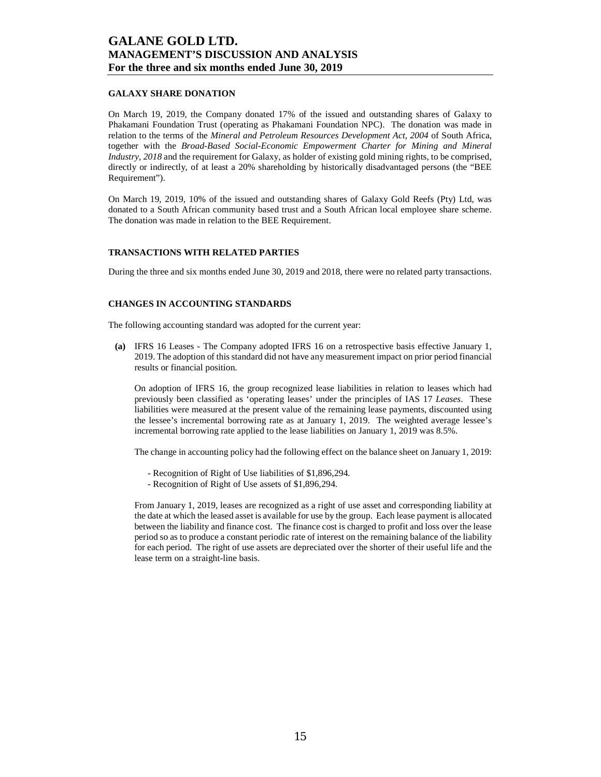### **GALAXY SHARE DONATION**

On March 19, 2019, the Company donated 17% of the issued and outstanding shares of Galaxy to Phakamani Foundation Trust (operating as Phakamani Foundation NPC). The donation was made in relation to the terms of the *Mineral and Petroleum Resources Development Act, 2004* of South Africa, together with the *Broad-Based Social-Economic Empowerment Charter for Mining and Mineral Industry, 2018* and the requirement for Galaxy, as holder of existing gold mining rights, to be comprised, directly or indirectly, of at least a 20% shareholding by historically disadvantaged persons (the "BEE Requirement").

On March 19, 2019, 10% of the issued and outstanding shares of Galaxy Gold Reefs (Pty) Ltd, was donated to a South African community based trust and a South African local employee share scheme. The donation was made in relation to the BEE Requirement.

#### **TRANSACTIONS WITH RELATED PARTIES**

During the three and six months ended June 30, 2019 and 2018, there were no related party transactions.

### **CHANGES IN ACCOUNTING STANDARDS**

The following accounting standard was adopted for the current year:

**(a)** IFRS 16 Leases - The Company adopted IFRS 16 on a retrospective basis effective January 1, 2019. The adoption of this standard did not have any measurement impact on prior period financial results or financial position.

On adoption of IFRS 16, the group recognized lease liabilities in relation to leases which had previously been classified as 'operating leases' under the principles of IAS 17 *Leases*. These liabilities were measured at the present value of the remaining lease payments, discounted using the lessee's incremental borrowing rate as at January 1, 2019. The weighted average lessee's incremental borrowing rate applied to the lease liabilities on January 1, 2019 was 8.5%.

The change in accounting policy had the following effect on the balance sheet on January 1, 2019:

- Recognition of Right of Use liabilities of \$1,896,294.
- Recognition of Right of Use assets of \$1,896,294.

From January 1, 2019, leases are recognized as a right of use asset and corresponding liability at the date at which the leased asset is available for use by the group. Each lease payment is allocated between the liability and finance cost. The finance cost is charged to profit and loss over the lease period so as to produce a constant periodic rate of interest on the remaining balance of the liability for each period. The right of use assets are depreciated over the shorter of their useful life and the lease term on a straight-line basis.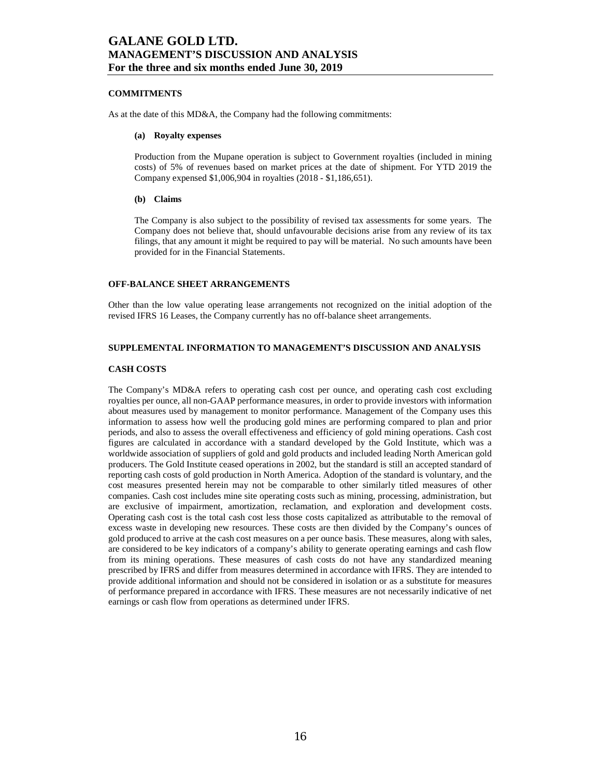### **COMMITMENTS**

As at the date of this MD&A, the Company had the following commitments:

#### **(a) Royalty expenses**

Production from the Mupane operation is subject to Government royalties (included in mining costs) of 5% of revenues based on market prices at the date of shipment. For YTD 2019 the Company expensed \$1,006,904 in royalties (2018 - \$1,186,651).

#### **(b) Claims**

The Company is also subject to the possibility of revised tax assessments for some years. The Company does not believe that, should unfavourable decisions arise from any review of its tax filings, that any amount it might be required to pay will be material. No such amounts have been provided for in the Financial Statements.

### **OFF-BALANCE SHEET ARRANGEMENTS**

Other than the low value operating lease arrangements not recognized on the initial adoption of the revised IFRS 16 Leases, the Company currently has no off-balance sheet arrangements.

### **SUPPLEMENTAL INFORMATION TO MANAGEMENT'S DISCUSSION AND ANALYSIS**

#### **CASH COSTS**

The Company's MD&A refers to operating cash cost per ounce, and operating cash cost excluding royalties per ounce, all non-GAAP performance measures, in order to provide investors with information about measures used by management to monitor performance. Management of the Company uses this information to assess how well the producing gold mines are performing compared to plan and prior periods, and also to assess the overall effectiveness and efficiency of gold mining operations. Cash cost figures are calculated in accordance with a standard developed by the Gold Institute, which was a worldwide association of suppliers of gold and gold products and included leading North American gold producers. The Gold Institute ceased operations in 2002, but the standard is still an accepted standard of reporting cash costs of gold production in North America. Adoption of the standard is voluntary, and the cost measures presented herein may not be comparable to other similarly titled measures of other companies. Cash cost includes mine site operating costs such as mining, processing, administration, but are exclusive of impairment, amortization, reclamation, and exploration and development costs. Operating cash cost is the total cash cost less those costs capitalized as attributable to the removal of excess waste in developing new resources. These costs are then divided by the Company's ounces of gold produced to arrive at the cash cost measures on a per ounce basis. These measures, along with sales, are considered to be key indicators of a company's ability to generate operating earnings and cash flow from its mining operations. These measures of cash costs do not have any standardized meaning prescribed by IFRS and differ from measures determined in accordance with IFRS. They are intended to provide additional information and should not be considered in isolation or as a substitute for measures of performance prepared in accordance with IFRS. These measures are not necessarily indicative of net earnings or cash flow from operations as determined under IFRS.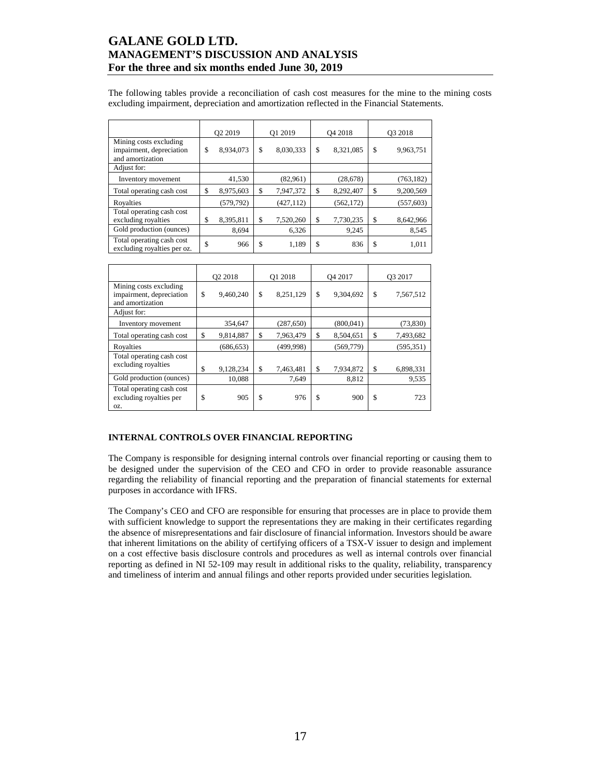The following tables provide a reconciliation of cash cost measures for the mine to the mining costs excluding impairment, depreciation and amortization reflected in the Financial Statements.

|                                                                        | O <sub>2</sub> 2019 |            | Q1 2019         |    | O <sub>4</sub> 2018 |    | O3 2018    |  |
|------------------------------------------------------------------------|---------------------|------------|-----------------|----|---------------------|----|------------|--|
| Mining costs excluding<br>impairment, depreciation<br>and amortization | \$                  | 8,934,073  | \$<br>8,030,333 | \$ | 8,321,085           | \$ | 9,963,751  |  |
| Adjust for:                                                            |                     |            |                 |    |                     |    |            |  |
| Inventory movement                                                     |                     | 41,530     | (82,961)        |    | (28, 678)           |    | (763, 182) |  |
| Total operating cash cost                                              | \$                  | 8,975,603  | \$<br>7,947,372 | \$ | 8,292,407           | \$ | 9,200,569  |  |
| Royalties                                                              |                     | (579, 792) | (427, 112)      |    | (562, 172)          |    | (557, 603) |  |
| Total operating cash cost<br>excluding royalties                       | \$                  | 8,395,811  | \$<br>7,520,260 | \$ | 7,730,235           | \$ | 8,642,966  |  |
| Gold production (ounces)                                               |                     | 8,694      | 6,326           |    | 9,245               |    | 8,545      |  |
| Total operating cash cost<br>excluding royalties per oz.               | \$                  | 966        | \$<br>1,189     | \$ | 836                 | \$ | 1,011      |  |

|                                                                        | O <sub>2</sub> 2018 |            | Q1 2018         | O <sub>4</sub> 2017 |            | O <sub>3</sub> 2017 |            |
|------------------------------------------------------------------------|---------------------|------------|-----------------|---------------------|------------|---------------------|------------|
| Mining costs excluding<br>impairment, depreciation<br>and amortization | \$                  | 9,460,240  | \$<br>8,251,129 | \$                  | 9,304,692  | \$                  | 7,567,512  |
| Adjust for:                                                            |                     |            |                 |                     |            |                     |            |
| Inventory movement                                                     |                     | 354,647    | (287, 650)      |                     | (800, 041) |                     | (73, 830)  |
| Total operating cash cost                                              | \$                  | 9,814,887  | \$<br>7,963,479 | \$                  | 8,504,651  | \$                  | 7,493,682  |
| Royalties                                                              |                     | (686, 653) | (499, 998)      |                     | (569, 779) |                     | (595, 351) |
| Total operating cash cost<br>excluding royalties                       | \$                  | 9,128,234  | \$<br>7,463,481 | \$                  | 7,934,872  | \$                  | 6,898,331  |
| Gold production (ounces)                                               |                     | 10,088     | 7,649           |                     | 8.812      |                     | 9.535      |
| Total operating cash cost<br>excluding royalties per<br>OZ.            | \$                  | 905        | \$<br>976       | \$                  | 900        | \$                  | 723        |

### **INTERNAL CONTROLS OVER FINANCIAL REPORTING**

The Company is responsible for designing internal controls over financial reporting or causing them to be designed under the supervision of the CEO and CFO in order to provide reasonable assurance regarding the reliability of financial reporting and the preparation of financial statements for external purposes in accordance with IFRS.

The Company's CEO and CFO are responsible for ensuring that processes are in place to provide them with sufficient knowledge to support the representations they are making in their certificates regarding the absence of misrepresentations and fair disclosure of financial information. Investors should be aware that inherent limitations on the ability of certifying officers of a TSX-V issuer to design and implement on a cost effective basis disclosure controls and procedures as well as internal controls over financial reporting as defined in NI 52-109 may result in additional risks to the quality, reliability, transparency and timeliness of interim and annual filings and other reports provided under securities legislation.